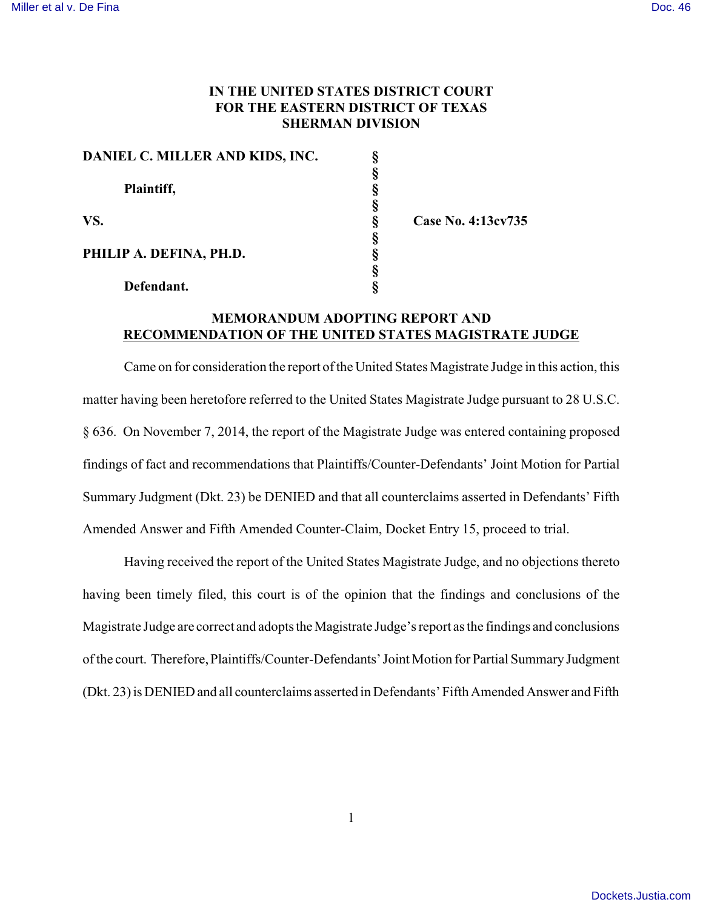## **IN THE UNITED STATES DISTRICT COURT FOR THE EASTERN DISTRICT OF TEXAS SHERMAN DIVISION**

**No. 4:13cv735** 

| DANIEL C. MILLER AND KIDS, INC. |      |
|---------------------------------|------|
| Plaintiff,                      |      |
|                                 |      |
|                                 |      |
| VS.                             | Case |
| PHILIP A. DEFINA, PH.D.         |      |
|                                 |      |
|                                 |      |
| Defendant.                      |      |

**MEMORANDUM ADOPTING REPORT AND RECOMMENDATION OF THE UNITED STATES MAGISTRATE JUDGE**

Came on for consideration the report of the United States Magistrate Judge in this action, this matter having been heretofore referred to the United States Magistrate Judge pursuant to 28 U.S.C. § 636. On November 7, 2014, the report of the Magistrate Judge was entered containing proposed findings of fact and recommendations that Plaintiffs/Counter-Defendants' Joint Motion for Partial Summary Judgment (Dkt. 23) be DENIED and that all counterclaims asserted in Defendants' Fifth Amended Answer and Fifth Amended Counter-Claim, Docket Entry 15, proceed to trial.

Having received the report of the United States Magistrate Judge, and no objections thereto having been timely filed, this court is of the opinion that the findings and conclusions of the Magistrate Judge are correct and adopts the Magistrate Judge's report as the findings and conclusions of the court. Therefore, Plaintiffs/Counter-Defendants' Joint Motion for Partial Summary Judgment (Dkt. 23) is DENIED and all counterclaims asserted in Defendants' Fifth Amended Answer and Fifth